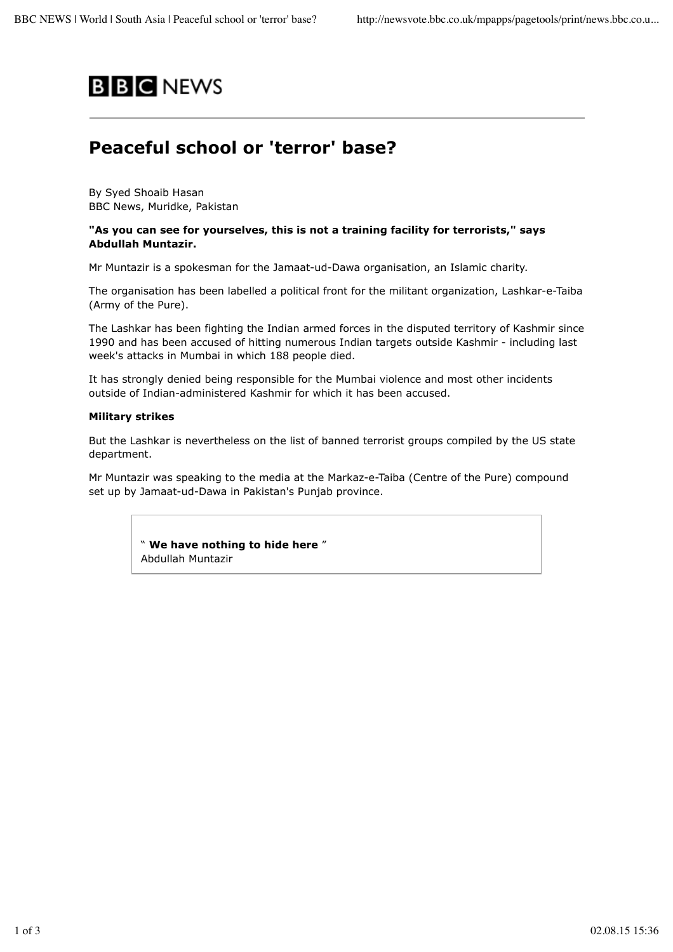# **B B C** NEWS

# **Peaceful school or 'terror' base?**

By Syed Shoaib Hasan BBC News, Muridke, Pakistan

# **"As you can see for yourselves, this is not a training facility for terrorists," says Abdullah Muntazir.**

Mr Muntazir is a spokesman for the Jamaat-ud-Dawa organisation, an Islamic charity.

The organisation has been labelled a political front for the militant organization, Lashkar-e-Taiba (Army of the Pure).

The Lashkar has been fighting the Indian armed forces in the disputed territory of Kashmir since 1990 and has been accused of hitting numerous Indian targets outside Kashmir - including last week's attacks in Mumbai in which 188 people died.

It has strongly denied being responsible for the Mumbai violence and most other incidents outside of Indian-administered Kashmir for which it has been accused.

#### **Military strikes**

But the Lashkar is nevertheless on the list of banned terrorist groups compiled by the US state department.

Mr Muntazir was speaking to the media at the Markaz-e-Taiba (Centre of the Pure) compound set up by Jamaat-ud-Dawa in Pakistan's Punjab province.

> " **We have nothing to hide here** " Abdullah Muntazir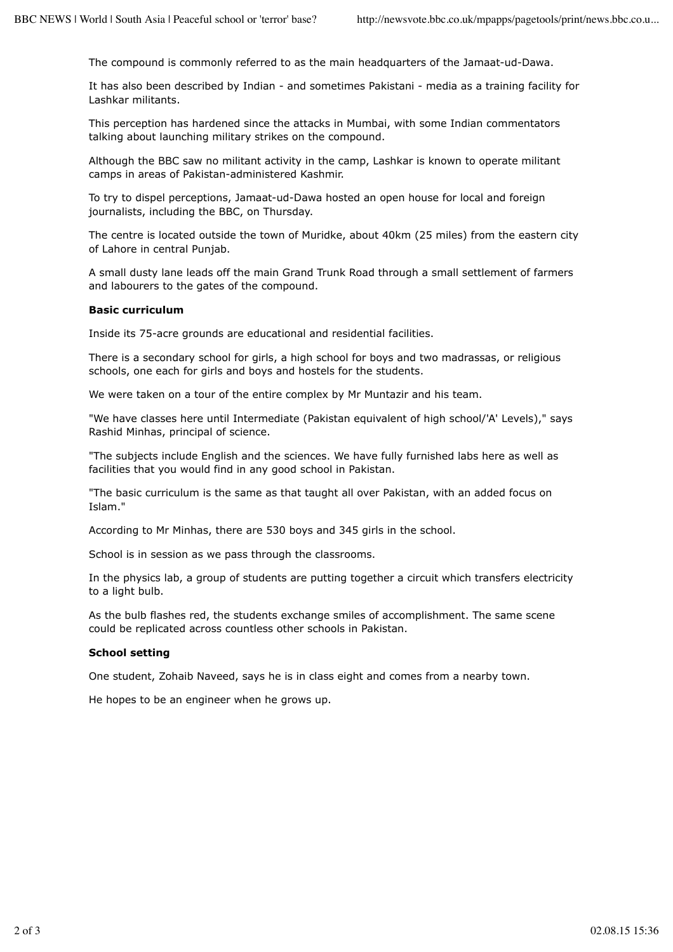The compound is commonly referred to as the main headquarters of the Jamaat-ud-Dawa.

It has also been described by Indian - and sometimes Pakistani - media as a training facility for Lashkar militants.

This perception has hardened since the attacks in Mumbai, with some Indian commentators talking about launching military strikes on the compound.

Although the BBC saw no militant activity in the camp, Lashkar is known to operate militant camps in areas of Pakistan-administered Kashmir.

To try to dispel perceptions, Jamaat-ud-Dawa hosted an open house for local and foreign journalists, including the BBC, on Thursday.

The centre is located outside the town of Muridke, about 40km (25 miles) from the eastern city of Lahore in central Punjab.

A small dusty lane leads off the main Grand Trunk Road through a small settlement of farmers and labourers to the gates of the compound.

## **Basic curriculum**

Inside its 75-acre grounds are educational and residential facilities.

There is a secondary school for girls, a high school for boys and two madrassas, or religious schools, one each for girls and boys and hostels for the students.

We were taken on a tour of the entire complex by Mr Muntazir and his team.

"We have classes here until Intermediate (Pakistan equivalent of high school/'A' Levels)," says Rashid Minhas, principal of science.

"The subjects include English and the sciences. We have fully furnished labs here as well as facilities that you would find in any good school in Pakistan.

"The basic curriculum is the same as that taught all over Pakistan, with an added focus on Islam."

According to Mr Minhas, there are 530 boys and 345 girls in the school.

School is in session as we pass through the classrooms.

In the physics lab, a group of students are putting together a circuit which transfers electricity to a light bulb.

As the bulb flashes red, the students exchange smiles of accomplishment. The same scene could be replicated across countless other schools in Pakistan.

## **School setting**

One student, Zohaib Naveed, says he is in class eight and comes from a nearby town.

He hopes to be an engineer when he grows up.